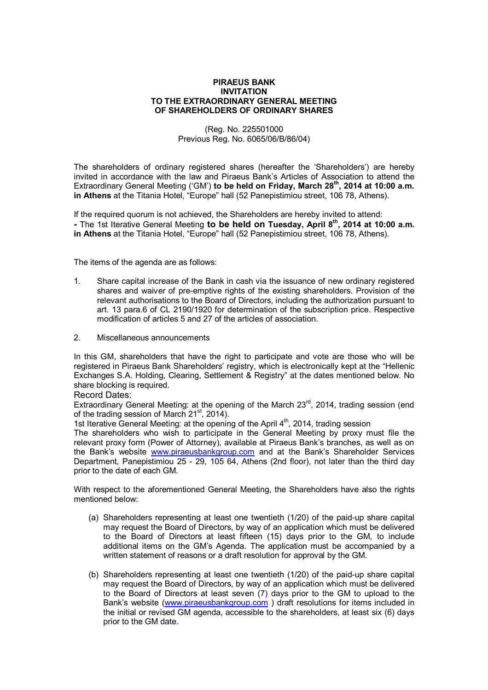## **PIRAEUS BANK INVITATION TO THE EXTRAORDINARY GENERAL MEETING OF SHAREHOLDERS OF ORDINARY SHARES**

## (Reg. No. 225501000 Previous Reg. No. 6065/06/Β/86/04)

The shareholders of ordinary registered shares (hereafter the 'Shareholders') are hereby invited in accordance with the law and Piraeus Bank's Articles of Association to attend the Extraordinary General Meeting ('GM') **to be held on Friday, March 28th , 2014 at 10:00 a.m. in Athens** at the Titania Hotel, "Europe" hall (52 Panepistimiou street, 106 78, Athens).

If the required quorum is not achieved, the Shareholders are hereby invited to attend: **-** The 1st Iterative General Meeting **to be held on Tuesday, April 8th , 2014 at 10:00 a.m. in Athens** at the Titania Hotel, "Europe" hall (52 Panepistimiou street, 106 78, Athens).

The items of the agenda are as follows:

- 1. Share capital increase of the Bank in cash via the issuance of new ordinary registered shares and waiver of pre-emptive rights of the existing shareholders. Provision of the relevant authorisations to the Board of Directors, including the authorization pursuant to art. 13 para.6 of CL 2190/1920 for determination of the subscription price. Respective modification of articles 5 and 27 of the articles of association.
- 2. Miscellaneous announcements

In this GM, shareholders that have the right to participate and vote are those who will be registered in Piraeus Bank Shareholders' registry, which is electronically kept at the "Hellenic Exchanges S.A. Holding, Clearing, Settlement & Registry" at the dates mentioned below. No share blocking is required.

## Record Dates:

Extraordinary General Meeting: at the opening of the March  $23<sup>rd</sup>$ , 2014, trading session (end of the trading session of March 21st, 2014).

1st Iterative General Meeting: at the opening of the April 4<sup>th</sup>, 2014, trading session

The shareholders who wish to participate in the General Meeting by proxy must file the relevant proxy form (Power of Attorney), available at Piraeus Bank's branches, as well as on the Bank's website www.piraeusbankgroup.com and at the Bank's Shareholder Services Department, Panepistimiou 25 - 29, 105 64, Athens (2nd floor), not later than the third day prior to the date of each GM.

With respect to the aforementioned General Meeting, the Shareholders have also the rights mentioned below:

- (a) Shareholders representing at least one twentieth (1/20) of the paid-up share capital may request the Board of Directors, by way of an application which must be delivered to the Board of Directors at least fifteen (15) days prior to the GM, to include additional items on the GM's Agenda. The application must be accompanied by a written statement of reasons or a draft resolution for approval by the GM.
- (b) Shareholders representing at least one twentieth (1/20) of the paid-up share capital may request the Board of Directors, by way of an application which must be delivered to the Board of Directors at least seven (7) days prior to the GM to upload to the Bank's website (www.piraeusbankgroup.com ) draft resolutions for items included in the initial or revised GM agenda, accessible to the shareholders, at least six (6) days prior to the GM date.